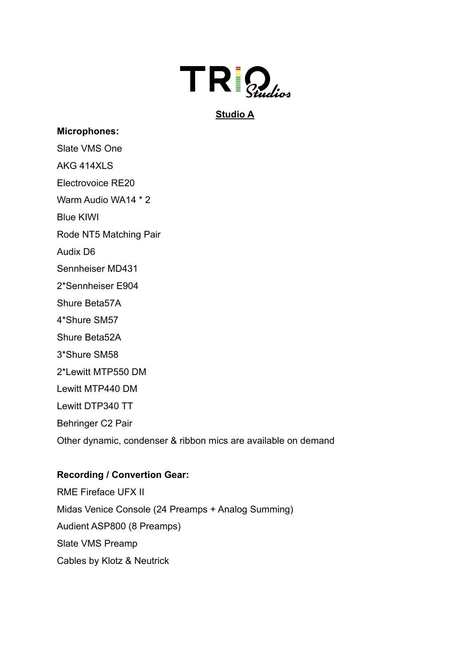

# **Studio A**

### **Microphones:**

Slate VMS One

AKG 414XLS

Electrovoice RE20

Warm Audio WA14 \* 2

Blue KIWI

Rode NT5 Matching Pair

Audix D6

Sennheiser MD431

2\*Sennheiser E904

Shure Beta57A

4\*Shure SM57

Shure Beta52A

3\*Shure SM58

2\*Lewitt MTP550 DM

Lewitt MTP440 DM

Lewitt DTP340 TT

Behringer C2 Pair

Other dynamic, condenser & ribbon mics are available on demand

#### **Recording / Convertion Gear:**

RME Fireface UFX II Midas Venice Console (24 Preamps + Analog Summing) Audient ASP800 (8 Preamps) Slate VMS Preamp Cables by Klotz & Neutrick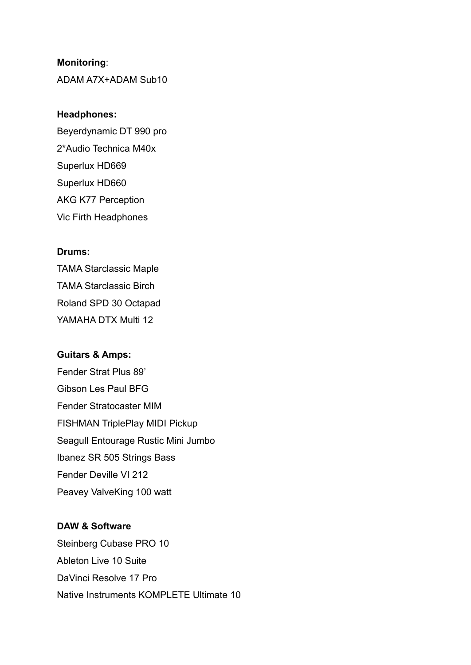#### **Monitoring**:

ADAM A7X+ADAM Sub10

#### **Headphones:**

Beyerdynamic DT 990 pro 2\*Audio Technica M40x Superlux HD669 Superlux HD660 AKG K77 Perception Vic Firth Headphones

#### **Drums:**

TAMA Starclassic Maple TAMA Starclassic Birch Roland SPD 30 Octapad YAMAHA DTX Multi 12

# **Guitars & Amps:** Fender Strat Plus 89' Gibson Les Paul BFG Fender Stratocaster MIM FISHMAN TriplePlay MIDI Pickup Seagull Entourage Rustic Mini Jumbo Ibanez SR 505 Strings Bass Fender Deville VI 212 Peavey ValveKing 100 watt

## **DAW & Software**

Steinberg Cubase PRO 10 Ableton Live 10 Suite DaVinci Resolve 17 Pro Native Instruments KOMPLETE Ultimate 10